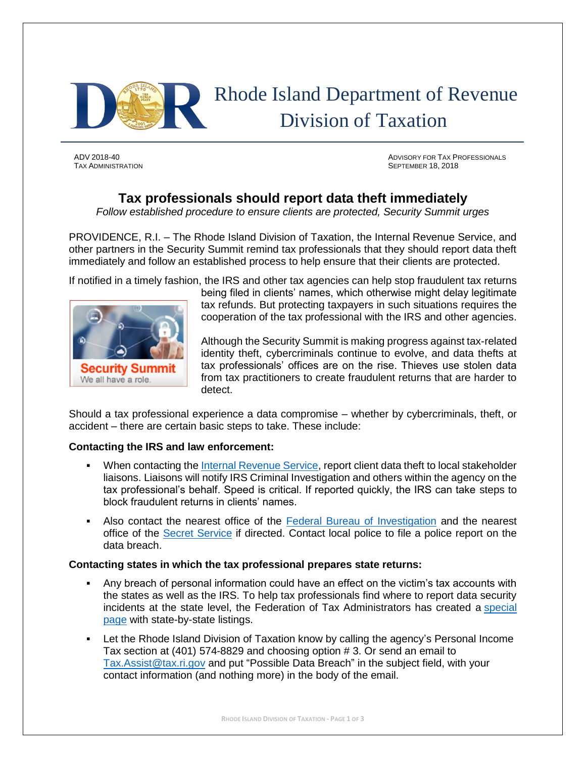

ADV 2018-40 ADVISORY FOR TAX PROFESSIONALS TAX ADMINISTRATION SEPTEMBER 18, 2018

# **Tax professionals should report data theft immediately**

*Follow established procedure to ensure clients are protected, Security Summit urges*

PROVIDENCE, R.I. – The Rhode Island Division of Taxation, the Internal Revenue Service, and other partners in the Security Summit remind tax professionals that they should report data theft immediately and follow an established process to help ensure that their clients are protected.

If notified in a timely fashion, the IRS and other tax agencies can help stop fraudulent tax returns



being filed in clients' names, which otherwise might delay legitimate tax refunds. But protecting taxpayers in such situations requires the cooperation of the tax professional with the IRS and other agencies.

Although the Security Summit is making progress against tax-related identity theft, cybercriminals continue to evolve, and data thefts at tax professionals' offices are on the rise. Thieves use stolen data from tax practitioners to create fraudulent returns that are harder to detect.

Should a tax professional experience a data compromise – whether by cybercriminals, theft, or accident – there are certain basic steps to take. These include:

## **Contacting the IRS and law enforcement:**

- **When contacting the [Internal Revenue Service,](https://www.irs.gov/businesses/small-businesses-self-employed/stakeholder-liaison-local-contacts) report client data theft to local stakeholder** liaisons. Liaisons will notify IRS Criminal Investigation and others within the agency on the tax professional's behalf. Speed is critical. If reported quickly, the IRS can take steps to block fraudulent returns in clients' names.
- **EXECT** Also contact the nearest office of the [Federal Bureau of Investigation](https://www.fbi.gov/contact-us/field-offices) and the nearest office of the [Secret Service](http://www.secretservice.gov/contact/field-offices/) if directed. Contact local police to file a police report on the data breach.

#### **Contacting states in which the tax professional prepares state returns:**

- Any breach of personal information could have an effect on the victim's tax accounts with the states as well as the IRS. To help tax professionals find where to report data security incidents at the state level, the Federation of Tax Administrators has created a [special](https://taxadmin.memberclicks.net/state-id-theft-resources)  [page](https://taxadmin.memberclicks.net/state-id-theft-resources) with state-by-state listings.
- Let the Rhode Island Division of Taxation know by calling the agency's Personal Income Tax section at (401) 574-8829 and choosing option # 3. Or send an email to [Tax.Assist@tax.ri.gov](mailto:Tax.Assist@tax.ri.gov) and put "Possible Data Breach" in the subject field, with your contact information (and nothing more) in the body of the email.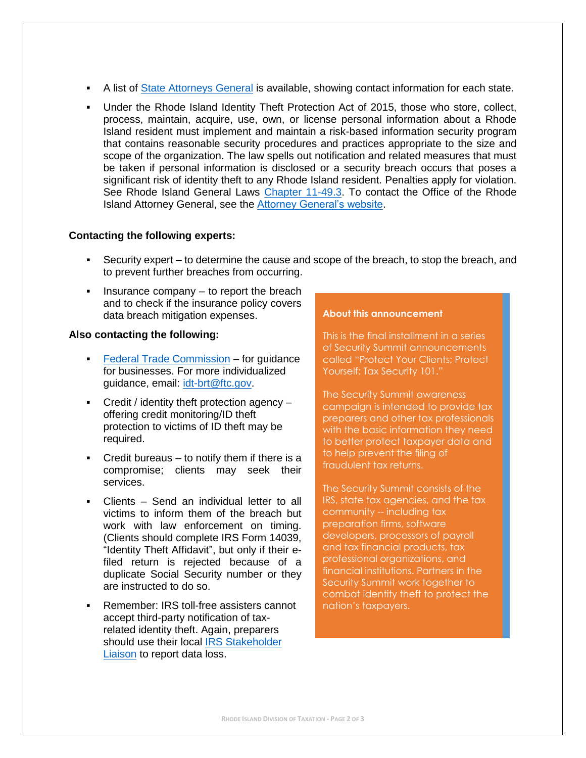- **EXECT** A list of [State Attorneys General](http://www.naag.org/naag/attorneys-general/whos-my-ag.php) is available, showing contact information for each state.
- Under the Rhode Island Identity Theft Protection Act of 2015, those who store, collect, process, maintain, acquire, use, own, or license personal information about a Rhode Island resident must implement and maintain a risk-based information security program that contains reasonable security procedures and practices appropriate to the size and scope of the organization. The law spells out notification and related measures that must be taken if personal information is disclosed or a security breach occurs that poses a significant risk of identity theft to any Rhode Island resident. Penalties apply for violation. See Rhode Island General Laws [Chapter 11-49.3.](http://webserver.rilin.state.ri.us/Statutes/TITLE11/11-49.3/INDEX.HTM) To contact the Office of the Rhode Island Attorney General, see the [Attorney General's website.](http://www.riag.ri.gov/)

#### **Contacting the following experts:**

- Security expert to determine the cause and scope of the breach, to stop the breach, and to prevent further breaches from occurring.
- **•** Insurance company to report the breach and to check if the insurance policy covers data breach mitigation expenses.

### **Also contacting the following:**

- **[Federal Trade Commission](https://www.ftc.gov/tips-advice/business-center/guidance/information-compromise-risk-identity-theft-guidance-your) for guidance** for businesses. For more individualized guidance, email: [idt-brt@ftc.gov.](mailto:idt-brt@ftc.gov)
- Credit / identity theft protection agency offering credit monitoring/ID theft protection to victims of ID theft may be required.
- $\blacksquare$  Credit bureaus to notify them if there is a compromise; clients may seek their services.
- Clients Send an individual letter to all victims to inform them of the breach but work with law enforcement on timing. (Clients should complete IRS Form 14039, "Identity Theft Affidavit", but only if their efiled return is rejected because of a duplicate Social Security number or they are instructed to do so.
- Remember: IRS toll-free assisters cannot accept third-party notification of taxrelated identity theft. Again, preparers should use their local IRS Stakeholder [Liaison](https://www.irs.gov/businesses/small-businesses-self-employed/stakeholder-liaison-local-contacts) to report data loss.

#### **About this announcement**

This is the final installment in a series of Security Summit announcements called "Protect Your Clients; Protect Yourself: Tax Security 101."

The Security Summit awareness campaign is intended to provide tax preparers and other tax professionals with the basic information they need to better protect taxpayer data and to help prevent the filing of fraudulent tax returns.

The Security Summit consists of the IRS, state tax agencies, and the tax community -- including tax preparation firms, software developers, processors of payroll and tax financial products, tax professional organizations, and financial institutions. Partners in the Security Summit work together to combat identity theft to protect the nation's taxpayers.